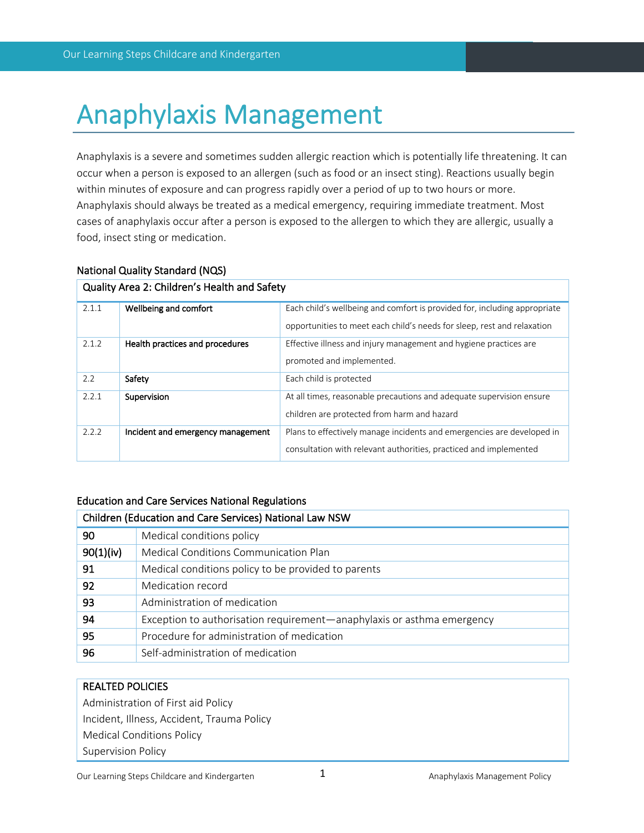# Anaphylaxis Management

Anaphylaxis is a severe and sometimes sudden allergic reaction which is potentially life threatening. It can occur when a person is exposed to an allergen (such as food or an insect sting). Reactions usually begin within minutes of exposure and can progress rapidly over a period of up to two hours or more. Anaphylaxis should always be treated as a medical emergency, requiring immediate treatment. Most cases of anaphylaxis occur after a person is exposed to the allergen to which they are allergic, usually a food, insect sting or medication.

| 2.1.1                | Wellbeing and comfort             | Each child's wellbeing and comfort is provided for, including appropriate |
|----------------------|-----------------------------------|---------------------------------------------------------------------------|
|                      |                                   | opportunities to meet each child's needs for sleep, rest and relaxation   |
| 2.1.2                | Health practices and procedures   | Effective illness and injury management and hygiene practices are         |
|                      |                                   | promoted and implemented.                                                 |
| 2.2                  | Safety                            | Each child is protected                                                   |
| 2.2.1<br>Supervision |                                   | At all times, reasonable precautions and adequate supervision ensure      |
|                      |                                   | children are protected from harm and hazard                               |
| 2.2.2                | Incident and emergency management | Plans to effectively manage incidents and emergencies are developed in    |
|                      |                                   | consultation with relevant authorities, practiced and implemented         |

# National Quality Standard (NQS)

Quality Area 2: Children's Health and Safety

# Education and Care Services National Regulations

| Children (Education and Care Services) National Law NSW |                                                                        |  |  |
|---------------------------------------------------------|------------------------------------------------------------------------|--|--|
| 90                                                      | Medical conditions policy                                              |  |  |
| 90(1)(iv)                                               | Medical Conditions Communication Plan                                  |  |  |
| 91                                                      | Medical conditions policy to be provided to parents                    |  |  |
| 92                                                      | Medication record                                                      |  |  |
| 93                                                      | Administration of medication                                           |  |  |
| 94                                                      | Exception to authorisation requirement—anaphylaxis or asthma emergency |  |  |
| 95                                                      | Procedure for administration of medication                             |  |  |
| 96                                                      | Self-administration of medication                                      |  |  |

# REALTED POLICIES

Administration of First aid Policy Incident, Illness, Accident, Trauma Policy Medical Conditions Policy Supervision Policy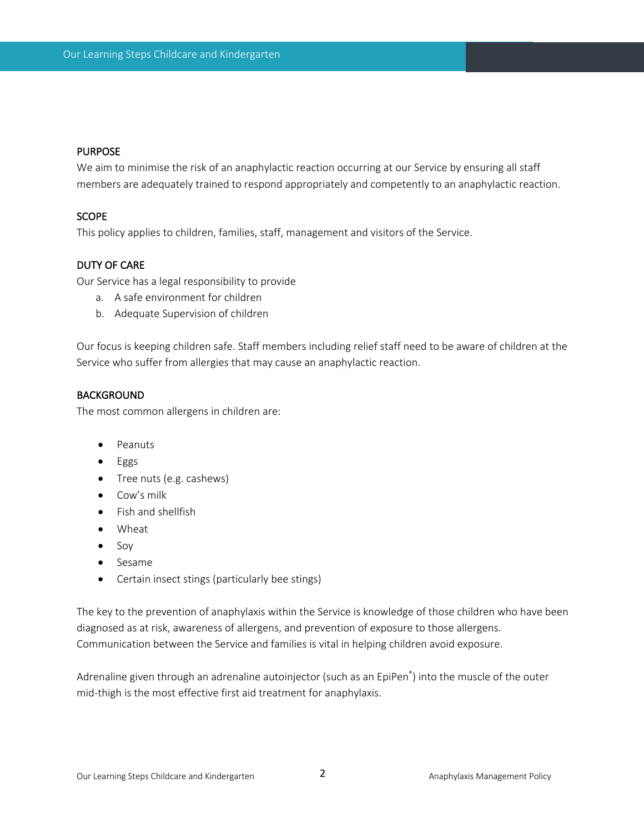## PURPOSE

We aim to minimise the risk of an anaphylactic reaction occurring at our Service by ensuring all staff members are adequately trained to respond appropriately and competently to an anaphylactic reaction.

## **SCOPE**

This policy applies to children, families, staff, management and visitors of the Service.

## DUTY OF CARE

Our Service has a legal responsibility to provide

- a. A safe environment for children
- b. Adequate Supervision of children

Our focus is keeping children safe. Staff members including relief staff need to be aware of children at the Service who suffer from allergies that may cause an anaphylactic reaction.

# BACKGROUND

The most common allergens in children are:

- Peanuts
- Eggs
- Tree nuts (e.g. cashews)
- Cow's milk
- Fish and shellfish
- Wheat
- Soy
- Sesame
- Certain insect stings (particularly bee stings)

The key to the prevention of anaphylaxis within the Service is knowledge of those children who have been diagnosed as at risk, awareness of allergens, and prevention of exposure to those allergens. Communication between the Service and families is vital in helping children avoid exposure.

Adrenaline given through an adrenaline autoinjector (such as an EpiPen® ) into the muscle of the outer mid-thigh is the most effective first aid treatment for anaphylaxis.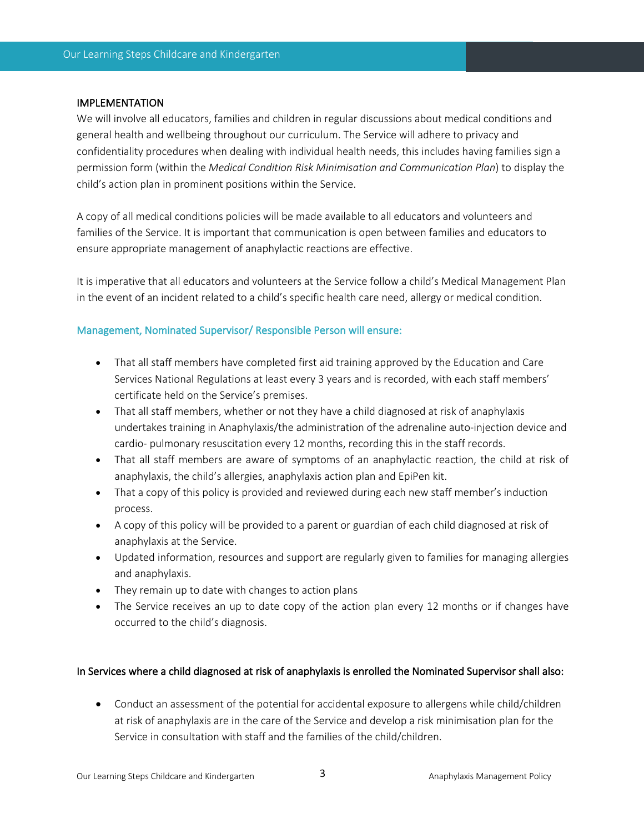#### IMPLEMENTATION

We will involve all educators, families and children in regular discussions about medical conditions and general health and wellbeing throughout our curriculum. The Service will adhere to privacy and confidentiality procedures when dealing with individual health needs, this includes having families sign a permission form (within the *Medical Condition Risk Minimisation and Communication Plan*) to display the child's action plan in prominent positions within the Service.

A copy of all medical conditions policies will be made available to all educators and volunteers and families of the Service. It is important that communication is open between families and educators to ensure appropriate management of anaphylactic reactions are effective.

It is imperative that all educators and volunteers at the Service follow a child's Medical Management Plan in the event of an incident related to a child's specific health care need, allergy or medical condition.

## Management, Nominated Supervisor/ Responsible Person will ensure:

- That all staff members have completed first aid training approved by the Education and Care Services National Regulations at least every 3 years and is recorded, with each staff members' certificate held on the Service's premises.
- That all staff members, whether or not they have a child diagnosed at risk of anaphylaxis undertakes training in Anaphylaxis/the administration of the adrenaline auto-injection device and cardio- pulmonary resuscitation every 12 months, recording this in the staff records.
- That all staff members are aware of symptoms of an anaphylactic reaction, the child at risk of anaphylaxis, the child's allergies, anaphylaxis action plan and EpiPen kit.
- That a copy of this policy is provided and reviewed during each new staff member's induction process.
- A copy of this policy will be provided to a parent or guardian of each child diagnosed at risk of anaphylaxis at the Service.
- Updated information, resources and support are regularly given to families for managing allergies and anaphylaxis.
- They remain up to date with changes to action plans
- The Service receives an up to date copy of the action plan every 12 months or if changes have occurred to the child's diagnosis.

# In Services where a child diagnosed at risk of anaphylaxis is enrolled the Nominated Supervisor shall also:

• Conduct an assessment of the potential for accidental exposure to allergens while child/children at risk of anaphylaxis are in the care of the Service and develop a risk minimisation plan for the Service in consultation with staff and the families of the child/children.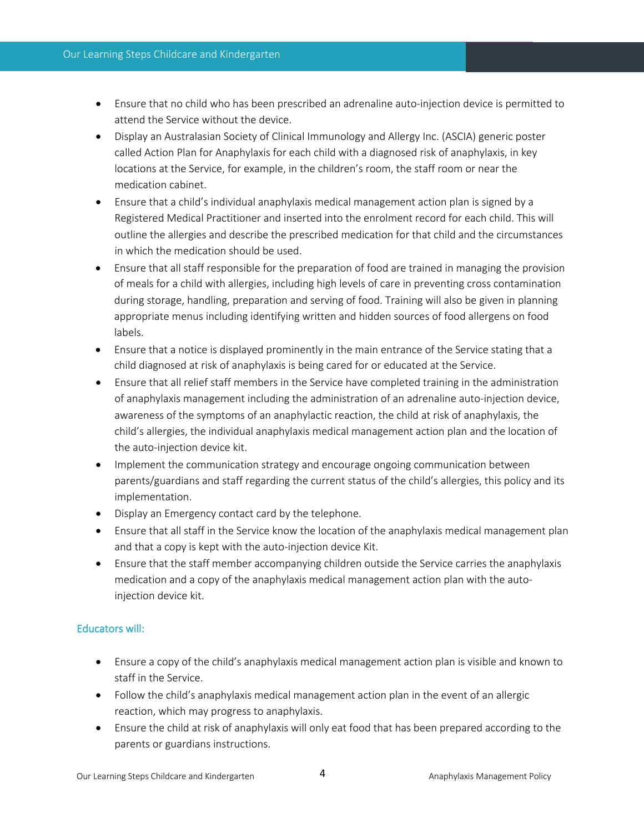- Ensure that no child who has been prescribed an adrenaline auto-injection device is permitted to attend the Service without the device.
- Display an Australasian Society of Clinical Immunology and Allergy Inc. (ASCIA) generic poster called Action Plan for Anaphylaxis for each child with a diagnosed risk of anaphylaxis, in key locations at the Service, for example, in the children's room, the staff room or near the medication cabinet.
- Ensure that a child's individual anaphylaxis medical management action plan is signed by a Registered Medical Practitioner and inserted into the enrolment record for each child. This will outline the allergies and describe the prescribed medication for that child and the circumstances in which the medication should be used.
- Ensure that all staff responsible for the preparation of food are trained in managing the provision of meals for a child with allergies, including high levels of care in preventing cross contamination during storage, handling, preparation and serving of food. Training will also be given in planning appropriate menus including identifying written and hidden sources of food allergens on food labels.
- Ensure that a notice is displayed prominently in the main entrance of the Service stating that a child diagnosed at risk of anaphylaxis is being cared for or educated at the Service.
- Ensure that all relief staff members in the Service have completed training in the administration of anaphylaxis management including the administration of an adrenaline auto-injection device, awareness of the symptoms of an anaphylactic reaction, the child at risk of anaphylaxis, the child's allergies, the individual anaphylaxis medical management action plan and the location of the auto-injection device kit.
- Implement the communication strategy and encourage ongoing communication between parents/guardians and staff regarding the current status of the child's allergies, this policy and its implementation.
- Display an Emergency contact card by the telephone.
- Ensure that all staff in the Service know the location of the anaphylaxis medical management plan and that a copy is kept with the auto-injection device Kit.
- Ensure that the staff member accompanying children outside the Service carries the anaphylaxis medication and a copy of the anaphylaxis medical management action plan with the autoinjection device kit.

# Educators will:

- Ensure a copy of the child's anaphylaxis medical management action plan is visible and known to staff in the Service.
- Follow the child's anaphylaxis medical management action plan in the event of an allergic reaction, which may progress to anaphylaxis.
- Ensure the child at risk of anaphylaxis will only eat food that has been prepared according to the parents or guardians instructions.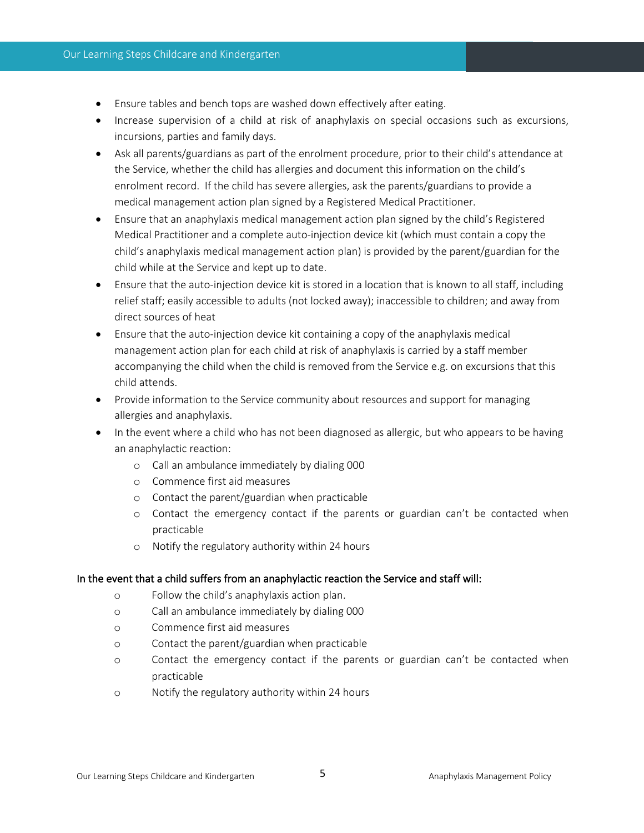- Ensure tables and bench tops are washed down effectively after eating.
- Increase supervision of a child at risk of anaphylaxis on special occasions such as excursions, incursions, parties and family days.
- Ask all parents/guardians as part of the enrolment procedure, prior to their child's attendance at the Service, whether the child has allergies and document this information on the child's enrolment record. If the child has severe allergies, ask the parents/guardians to provide a medical management action plan signed by a Registered Medical Practitioner.
- Ensure that an anaphylaxis medical management action plan signed by the child's Registered Medical Practitioner and a complete auto-injection device kit (which must contain a copy the child's anaphylaxis medical management action plan) is provided by the parent/guardian for the child while at the Service and kept up to date.
- Ensure that the auto-injection device kit is stored in a location that is known to all staff, including relief staff; easily accessible to adults (not locked away); inaccessible to children; and away from direct sources of heat
- Ensure that the auto-injection device kit containing a copy of the anaphylaxis medical management action plan for each child at risk of anaphylaxis is carried by a staff member accompanying the child when the child is removed from the Service e.g. on excursions that this child attends.
- Provide information to the Service community about resources and support for managing allergies and anaphylaxis.
- In the event where a child who has not been diagnosed as allergic, but who appears to be having an anaphylactic reaction:
	- o Call an ambulance immediately by dialing 000
	- o Commence first aid measures
	- o Contact the parent/guardian when practicable
	- o Contact the emergency contact if the parents or guardian can't be contacted when practicable
	- o Notify the regulatory authority within 24 hours

#### In the event that a child suffers from an anaphylactic reaction the Service and staff will:

- o Follow the child's anaphylaxis action plan.
- o Call an ambulance immediately by dialing 000
- o Commence first aid measures
- o Contact the parent/guardian when practicable
- o Contact the emergency contact if the parents or guardian can't be contacted when practicable
- o Notify the regulatory authority within 24 hours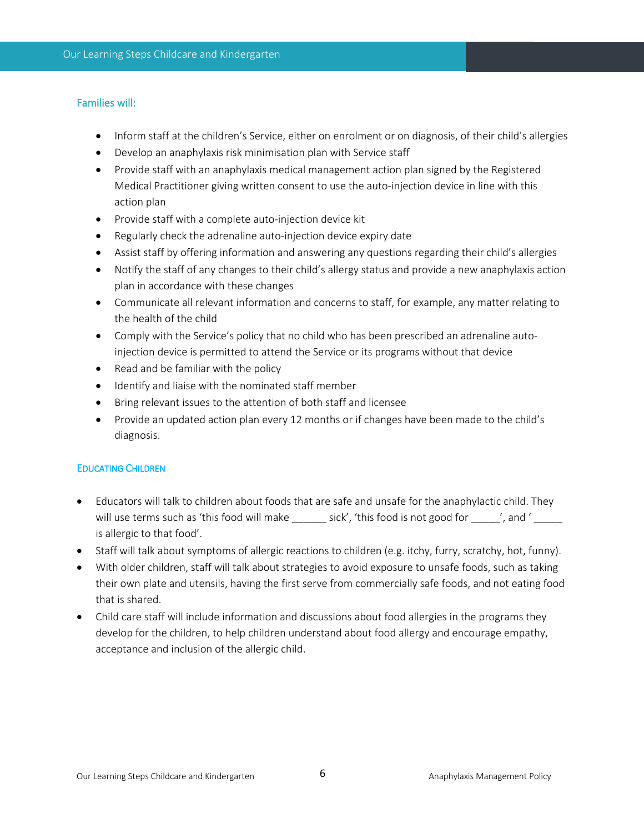### Families will:

- Inform staff at the children's Service, either on enrolment or on diagnosis, of their child's allergies
- Develop an anaphylaxis risk minimisation plan with Service staff
- Provide staff with an anaphylaxis medical management action plan signed by the Registered Medical Practitioner giving written consent to use the auto-injection device in line with this action plan
- Provide staff with a complete auto-injection device kit
- Regularly check the adrenaline auto-injection device expiry date
- Assist staff by offering information and answering any questions regarding their child's allergies
- Notify the staff of any changes to their child's allergy status and provide a new anaphylaxis action plan in accordance with these changes
- Communicate all relevant information and concerns to staff, for example, any matter relating to the health of the child
- Comply with the Service's policy that no child who has been prescribed an adrenaline autoinjection device is permitted to attend the Service or its programs without that device
- Read and be familiar with the policy
- Identify and liaise with the nominated staff member
- Bring relevant issues to the attention of both staff and licensee
- Provide an updated action plan every 12 months or if changes have been made to the child's diagnosis.

# EDUCATING CHILDREN

- Educators will talk to children about foods that are safe and unsafe for the anaphylactic child. They will use terms such as 'this food will make sick', 'this food is not good for  $\sim$  ', and ' is allergic to that food'.
- Staff will talk about symptoms of allergic reactions to children (e.g. itchy, furry, scratchy, hot, funny).
- With older children, staff will talk about strategies to avoid exposure to unsafe foods, such as taking their own plate and utensils, having the first serve from commercially safe foods, and not eating food that is shared.
- Child care staff will include information and discussions about food allergies in the programs they develop for the children, to help children understand about food allergy and encourage empathy, acceptance and inclusion of the allergic child.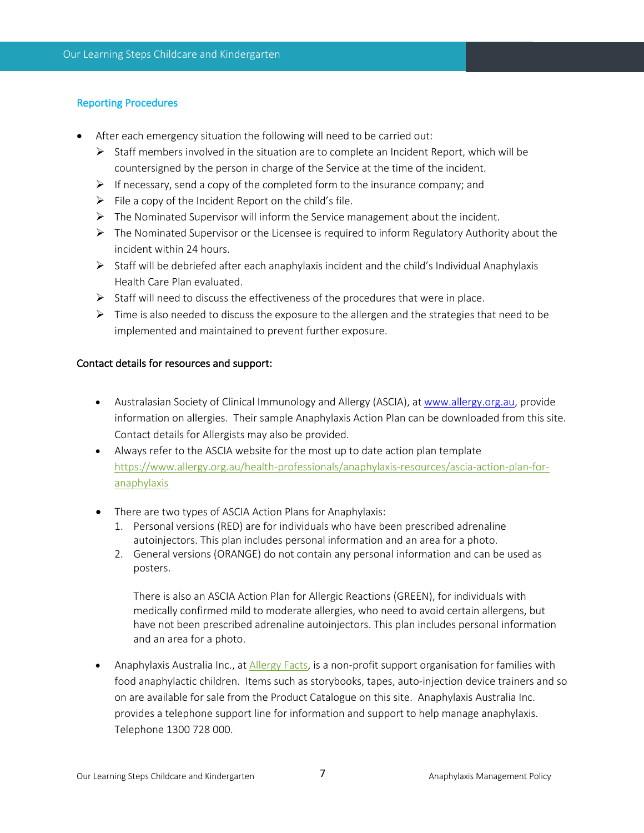# Reporting Procedures

- After each emergency situation the following will need to be carried out:
	- $\triangleright$  Staff members involved in the situation are to complete an Incident Report, which will be countersigned by the person in charge of the Service at the time of the incident.
	- $\triangleright$  If necessary, send a copy of the completed form to the insurance company; and
	- $\triangleright$  File a copy of the Incident Report on the child's file.
	- $\triangleright$  The Nominated Supervisor will inform the Service management about the incident.
	- $\triangleright$  The Nominated Supervisor or the Licensee is required to inform Regulatory Authority about the incident within 24 hours.
	- $\triangleright$  Staff will be debriefed after each anaphylaxis incident and the child's Individual Anaphylaxis Health Care Plan evaluated.
	- $\triangleright$  Staff will need to discuss the effectiveness of the procedures that were in place.
	- $\triangleright$  Time is also needed to discuss the exposure to the allergen and the strategies that need to be implemented and maintained to prevent further exposure.

#### Contact details for resources and support:

- Australasian Society of Clinical Immunology and Allergy (ASCIA), at www.allergy.org.au, provide information on allergies. Their sample Anaphylaxis Action Plan can be downloaded from this site. Contact details for Allergists may also be provided.
- Always refer to the ASCIA website for the most up to date action plan template https://www.allergy.org.au/health-professionals/anaphylaxis-resources/ascia-action-plan-foranaphylaxis
- There are two types of ASCIA Action Plans for Anaphylaxis:
	- 1. Personal versions (RED) are for individuals who have been prescribed adrenaline autoinjectors. This plan includes personal information and an area for a photo.
	- 2. General versions (ORANGE) do not contain any personal information and can be used as posters.

There is also an ASCIA Action Plan for Allergic Reactions (GREEN), for individuals with medically confirmed mild to moderate allergies, who need to avoid certain allergens, but have not been prescribed adrenaline autoinjectors. This plan includes personal information and an area for a photo.

• Anaphylaxis Australia Inc., at *Allergy Facts*, is a non-profit support organisation for families with food anaphylactic children. Items such as storybooks, tapes, auto-injection device trainers and so on are available for sale from the Product Catalogue on this site. Anaphylaxis Australia Inc. provides a telephone support line for information and support to help manage anaphylaxis. Telephone 1300 728 000.